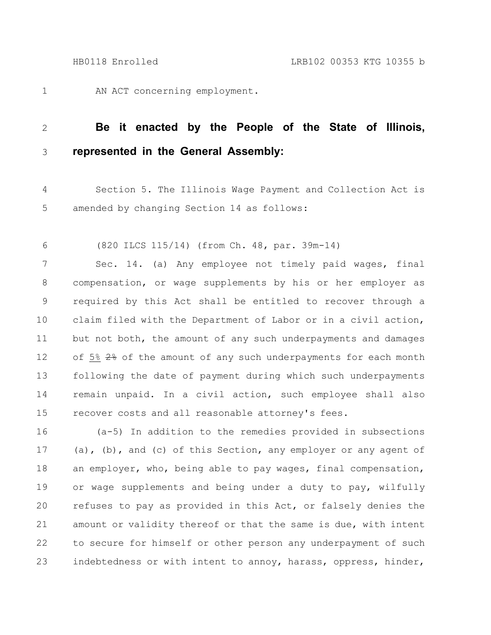AN ACT concerning employment. 1

## **Be it enacted by the People of the State of Illinois, represented in the General Assembly:** 2 3

Section 5. The Illinois Wage Payment and Collection Act is amended by changing Section 14 as follows: 4 5

(820 ILCS 115/14) (from Ch. 48, par. 39m-14) 6

Sec. 14. (a) Any employee not timely paid wages, final compensation, or wage supplements by his or her employer as required by this Act shall be entitled to recover through a claim filed with the Department of Labor or in a civil action, but not both, the amount of any such underpayments and damages of 5% 2% of the amount of any such underpayments for each month following the date of payment during which such underpayments remain unpaid. In a civil action, such employee shall also recover costs and all reasonable attorney's fees. 7 8 9 10 11 12 13 14 15

(a-5) In addition to the remedies provided in subsections (a), (b), and (c) of this Section, any employer or any agent of an employer, who, being able to pay wages, final compensation, or wage supplements and being under a duty to pay, wilfully refuses to pay as provided in this Act, or falsely denies the amount or validity thereof or that the same is due, with intent to secure for himself or other person any underpayment of such indebtedness or with intent to annoy, harass, oppress, hinder, 16 17 18 19 20 21 22 23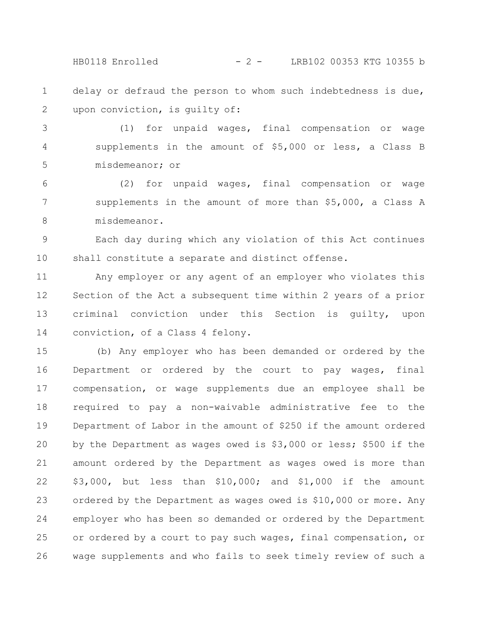HB0118 Enrolled - 2 - LRB102 00353 KTG 10355 b

delay or defraud the person to whom such indebtedness is due, upon conviction, is guilty of: 1 2

(1) for unpaid wages, final compensation or wage supplements in the amount of \$5,000 or less, a Class B misdemeanor; or 3 4 5

(2) for unpaid wages, final compensation or wage supplements in the amount of more than \$5,000, a Class A misdemeanor. 6 7 8

Each day during which any violation of this Act continues shall constitute a separate and distinct offense. 9 10

Any employer or any agent of an employer who violates this Section of the Act a subsequent time within 2 years of a prior criminal conviction under this Section is guilty, upon conviction, of a Class 4 felony. 11 12 13 14

(b) Any employer who has been demanded or ordered by the Department or ordered by the court to pay wages, final compensation, or wage supplements due an employee shall be required to pay a non-waivable administrative fee to the Department of Labor in the amount of \$250 if the amount ordered by the Department as wages owed is \$3,000 or less; \$500 if the amount ordered by the Department as wages owed is more than \$3,000, but less than \$10,000; and \$1,000 if the amount ordered by the Department as wages owed is \$10,000 or more. Any employer who has been so demanded or ordered by the Department or ordered by a court to pay such wages, final compensation, or wage supplements and who fails to seek timely review of such a 15 16 17 18 19 20 21 22 23 24 25 26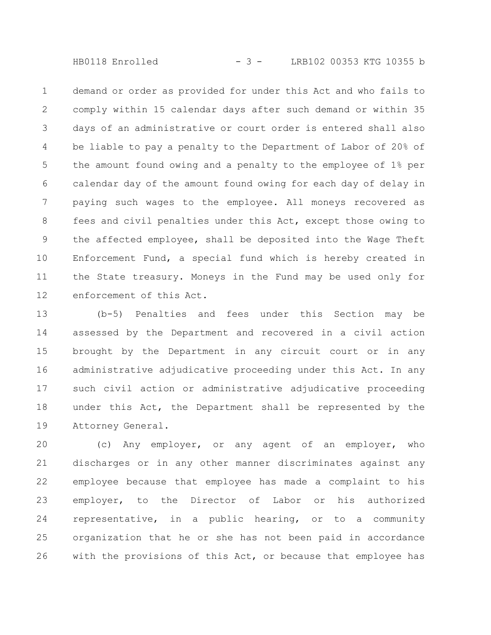HB0118 Enrolled - 3 - LRB102 00353 KTG 10355 b

demand or order as provided for under this Act and who fails to comply within 15 calendar days after such demand or within 35 days of an administrative or court order is entered shall also be liable to pay a penalty to the Department of Labor of 20% of the amount found owing and a penalty to the employee of 1% per calendar day of the amount found owing for each day of delay in paying such wages to the employee. All moneys recovered as fees and civil penalties under this Act, except those owing to the affected employee, shall be deposited into the Wage Theft Enforcement Fund, a special fund which is hereby created in the State treasury. Moneys in the Fund may be used only for enforcement of this Act. 1 2 3 4 5 6 7 8 9 10 11 12

(b-5) Penalties and fees under this Section may be assessed by the Department and recovered in a civil action brought by the Department in any circuit court or in any administrative adjudicative proceeding under this Act. In any such civil action or administrative adjudicative proceeding under this Act, the Department shall be represented by the Attorney General. 13 14 15 16 17 18 19

(c) Any employer, or any agent of an employer, who discharges or in any other manner discriminates against any employee because that employee has made a complaint to his employer, to the Director of Labor or his authorized representative, in a public hearing, or to a community organization that he or she has not been paid in accordance with the provisions of this Act, or because that employee has 20 21 22 23 24 25 26